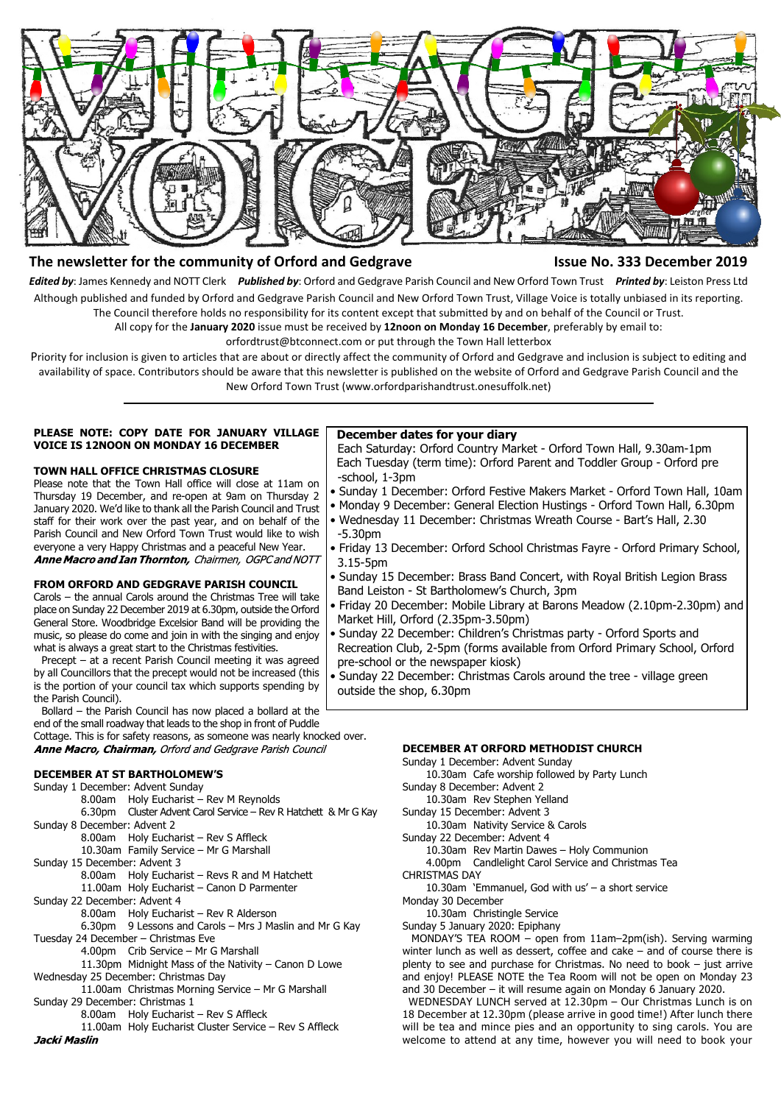

### **The newsletter for the community of Orford and Gedgrave Issue No. 333 December 2019**

*Edited by*: James Kennedy and NOTT Clerk *Published by*: Orford and Gedgrave Parish Council and New Orford Town Trust *Printed by*: Leiston Press Ltd Although published and funded by Orford and Gedgrave Parish Council and New Orford Town Trust, Village Voice is totally unbiased in its reporting. The Council therefore holds no responsibility for its content except that submitted by and on behalf of the Council or Trust.

All copy for the **January 2020** issue must be received by **12noon on Monday 16 December**, preferably by email to:

orfordtrust@btconnect.com or put through the Town Hall letterbox

Priority for inclusion is given to articles that are about or directly affect the community of Orford and Gedgrave and inclusion is subject to editing and availability of space. Contributors should be aware that this newsletter is published on the website of Orford and Gedgrave Parish Council and the New Orford Town Trust (www.orfordparishandtrust.onesuffolk.net)

#### **PLEASE NOTE: COPY DATE FOR JANUARY VILLAGE VOICE IS 12NOON ON MONDAY 16 DECEMBER**

#### **TOWN HALL OFFICE CHRISTMAS CLOSURE**

Please note that the Town Hall office will close at 11am on Thursday 19 December, and re-open at 9am on Thursday 2 January 2020. We'd like to thank all the Parish Council and Trust staff for their work over the past year, and on behalf of the Parish Council and New Orford Town Trust would like to wish everyone a very Happy Christmas and a peaceful New Year.<br>**Anne Macro and Ian Thornton,** Chairmen, OGPC and NOTT

#### **FROM ORFORD AND GEDGRAVE PARISH COUNCIL**

Carols – the annual Carols around the Christmas Tree will take place on Sunday 22 December 2019 at 6.30pm, outside the Orford General Store. Woodbridge Excelsior Band will be providing the music, so please do come and join in with the singing and enjoy what is always a great start to the Christmas festivities.

 Precept – at a recent Parish Council meeting it was agreed by all Councillors that the precept would not be increased (this is the portion of your council tax which supports spending by the Parish Council).

 Bollard – the Parish Council has now placed a bollard at the end of the small roadway that leads to the shop in front of Puddle

Cottage. This is for safety reasons, as someone was nearly knocked over. Anne Macro, Chairman, Orford and Gedgrave Parish Council

#### **DECEMBER AT ST BARTHOLOMEW'S**

Sunday 1 December: Advent Sunday 8.00am Holy Eucharist – Rev M Reynolds 6.30pm Cluster Advent Carol Service – Rev R Hatchett & Mr G Kay Sunday 8 December: Advent 2 8.00am Holy Eucharist – Rev S Affleck 10.30am Family Service – Mr G Marshall Sunday 15 December: Advent 3 8.00am Holy Eucharist – Revs R and M Hatchett 11.00am Holy Eucharist – Canon D Parmenter Sunday 22 December: Advent 4 8.00am Holy Eucharist – Rev R Alderson 6.30pm 9 Lessons and Carols – Mrs J Maslin and Mr G Kay Tuesday 24 December – Christmas Eve 4.00pm Crib Service – Mr G Marshall 11.30pm Midnight Mass of the Nativity – Canon D Lowe Wednesday 25 December: Christmas Day 11.00am Christmas Morning Service – Mr G Marshall Sunday 29 December: Christmas 1 8.00am Holy Eucharist – Rev S Affleck 11.00am Holy Eucharist Cluster Service – Rev S Affleck<br>Jacki Maslin

#### **December dates for your diary**

 Each Saturday: Orford Country Market - Orford Town Hall, 9.30am-1pm Each Tuesday (term time): Orford Parent and Toddler Group - Orford pre -school, 1-3pm

- Sunday 1 December: Orford Festive Makers Market Orford Town Hall, 10am
- Monday 9 December: General Election Hustings Orford Town Hall, 6.30pm
- Wednesday 11 December: Christmas Wreath Course Bart's Hall, 2.30 -5.30pm
- Friday 13 December: Orford School Christmas Fayre Orford Primary School, 3.15-5pm
- Sunday 15 December: Brass Band Concert, with Royal British Legion Brass Band Leiston - St Bartholomew's Church, 3pm
- Friday 20 December: Mobile Library at Barons Meadow (2.10pm-2.30pm) and Market Hill, Orford (2.35pm-3.50pm)
- Sunday 22 December: Children's Christmas party Orford Sports and Recreation Club, 2-5pm (forms available from Orford Primary School, Orford pre-school or the newspaper kiosk)
- Sunday 22 December: Christmas Carols around the tree village green outside the shop, 6.30pm

#### **DECEMBER AT ORFORD METHODIST CHURCH**

Sunday 1 December: Advent Sunday

10.30am Cafe worship followed by Party Lunch Sunday 8 December: Advent 2

10.30am Rev Stephen Yelland

Sunday 15 December: Advent 3

10.30am Nativity Service & Carols

Sunday 22 December: Advent 4

10.30am Rev Martin Dawes – Holy Communion

4.00pm Candlelight Carol Service and Christmas Tea

CHRISTMAS DAY

10.30am 'Emmanuel, God with us' – a short service

Monday 30 December

10.30am Christingle Service

Sunday 5 January 2020: Epiphany

 MONDAY'S TEA ROOM – open from 11am–2pm(ish). Serving warming winter lunch as well as dessert, coffee and cake – and of course there is plenty to see and purchase for Christmas. No need to book – just arrive and enjoy! PLEASE NOTE the Tea Room will not be open on Monday 23 and 30 December – it will resume again on Monday 6 January 2020.

 WEDNESDAY LUNCH served at 12.30pm – Our Christmas Lunch is on 18 December at 12.30pm (please arrive in good time!) After lunch there will be tea and mince pies and an opportunity to sing carols. You are welcome to attend at any time, however you will need to book your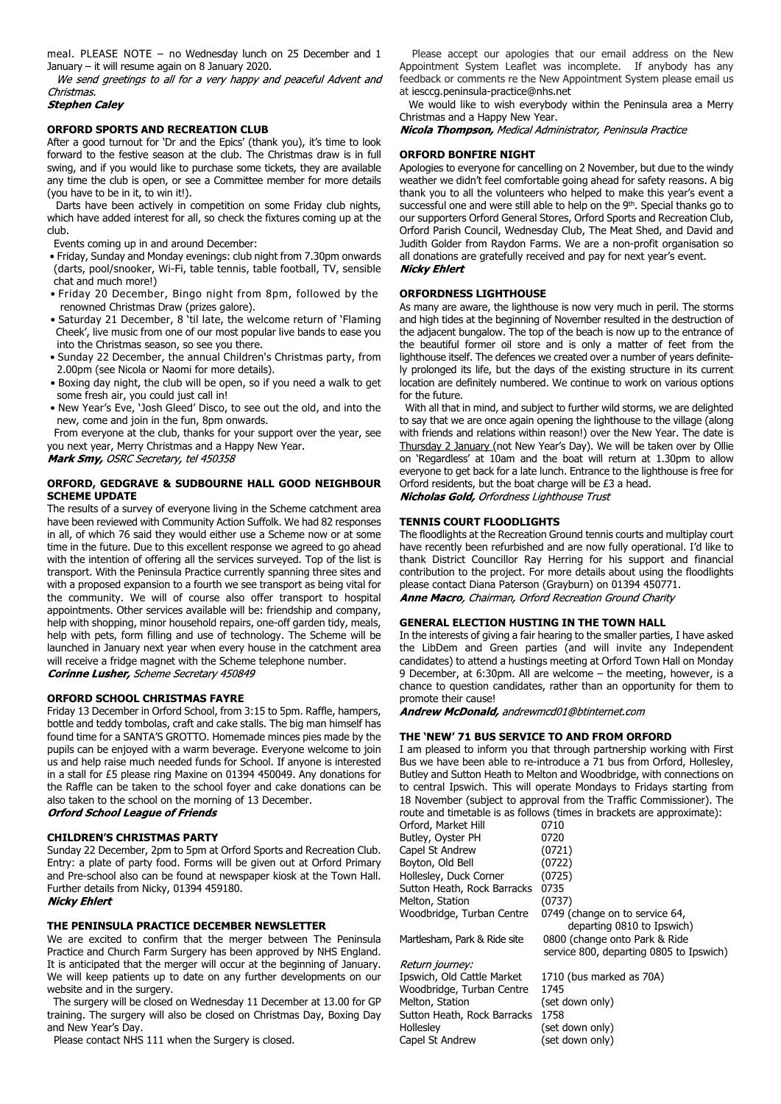meal. PLEASE NOTE – no Wednesday lunch on 25 December and 1 January – it will resume again on 8 January 2020.

We send greetings to all for a very happy and peaceful Advent and Christmas.

#### **Stephen Caley**

#### **ORFORD SPORTS AND RECREATION CLUB**

After a good turnout for 'Dr and the Epics' (thank you), it's time to look forward to the festive season at the club. The Christmas draw is in full swing, and if you would like to purchase some tickets, they are available any time the club is open, or see a Committee member for more details (you have to be in it, to win it!).

 Darts have been actively in competition on some Friday club nights, which have added interest for all, so check the fixtures coming up at the club.

Events coming up in and around December:

- Friday, Sunday and Monday evenings: club night from 7.30pm onwards (darts, pool/snooker, Wi-Fi, table tennis, table football, TV, sensible chat and much more!)
- Friday 20 December, Bingo night from 8pm, followed by the renowned Christmas Draw (prizes galore).
- Saturday 21 December, 8 'til late, the welcome return of 'Flaming Cheek', live music from one of our most popular live bands to ease you into the Christmas season, so see you there.
- Sunday 22 December, the annual Children's Christmas party, from 2.00pm (see Nicola or Naomi for more details).
- Boxing day night, the club will be open, so if you need a walk to get some fresh air, you could just call in!
- New Year's Eve, 'Josh Gleed' Disco, to see out the old, and into the new, come and join in the fun, 8pm onwards.

 From everyone at the club, thanks for your support over the year, see you next year, Merry Christmas and a Happy New Year.

Mark Smy, OSRC Secretary, tel 450358

#### **ORFORD, GEDGRAVE & SUDBOURNE HALL GOOD NEIGHBOUR SCHEME UPDATE**

The results of a survey of everyone living in the Scheme catchment area have been reviewed with Community Action Suffolk. We had 82 responses in all, of which 76 said they would either use a Scheme now or at some time in the future. Due to this excellent response we agreed to go ahead with the intention of offering all the services surveyed. Top of the list is transport. With the Peninsula Practice currently spanning three sites and with a proposed expansion to a fourth we see transport as being vital for the community. We will of course also offer transport to hospital appointments. Other services available will be: friendship and company, help with shopping, minor household repairs, one-off garden tidy, meals, help with pets, form filling and use of technology. The Scheme will be launched in January next year when every house in the catchment area will receive a fridge magnet with the Scheme telephone number. **Corinne Lusher, Scheme Secretary 450849** 

#### **ORFORD SCHOOL CHRISTMAS FAYRE**

Friday 13 December in Orford School, from 3:15 to 5pm. Raffle, hampers, bottle and teddy tombolas, craft and cake stalls. The big man himself has found time for a SANTA'S GROTTO. Homemade minces pies made by the pupils can be enjoyed with a warm beverage. Everyone welcome to join us and help raise much needed funds for School. If anyone is interested in a stall for £5 please ring Maxine on 01394 450049. Any donations for the Raffle can be taken to the school foyer and cake donations can be also taken to the school on the morning of 13 December. **Orford School League of Friends** 

### **CHILDREN'S CHRISTMAS PARTY**

Sunday 22 December, 2pm to 5pm at Orford Sports and Recreation Club. Entry: a plate of party food. Forms will be given out at Orford Primary and Pre-school also can be found at newspaper kiosk at the Town Hall. Further details from Nicky, 01394 459180. **Nicky Ehlert** 

#### **THE PENINSULA PRACTICE DECEMBER NEWSLETTER**

We are excited to confirm that the merger between The Peninsula Practice and Church Farm Surgery has been approved by NHS England. It is anticipated that the merger will occur at the beginning of January. We will keep patients up to date on any further developments on our website and in the surgery.

 The surgery will be closed on Wednesday 11 December at 13.00 for GP training. The surgery will also be closed on Christmas Day, Boxing Day and New Year's Day.

Please contact NHS 111 when the Surgery is closed.

 Please accept our apologies that our email address on the New Appointment System Leaflet was incomplete. If anybody has any feedback or comments re the New Appointment System please email us at iesccg.peninsula-practice@nhs.net

We would like to wish everybody within the Peninsula area a Merry Christmas and a Happy New Year.

Nicola Thompson, Medical Administrator, Peninsula Practice

#### **ORFORD BONFIRE NIGHT**

Apologies to everyone for cancelling on 2 November, but due to the windy weather we didn't feel comfortable going ahead for safety reasons. A big thank you to all the volunteers who helped to make this year's event a successful one and were still able to help on the 9<sup>th</sup>. Special thanks go to our supporters Orford General Stores, Orford Sports and Recreation Club, Orford Parish Council, Wednesday Club, The Meat Shed, and David and Judith Golder from Raydon Farms. We are a non-profit organisation so all donations are gratefully received and pay for next year's event. **Nicky Ehlert** 

#### **ORFORDNESS LIGHTHOUSE**

As many are aware, the lighthouse is now very much in peril. The storms and high tides at the beginning of November resulted in the destruction of the adjacent bungalow. The top of the beach is now up to the entrance of the beautiful former oil store and is only a matter of feet from the lighthouse itself. The defences we created over a number of years definitely prolonged its life, but the days of the existing structure in its current location are definitely numbered. We continue to work on various options for the future.

 With all that in mind, and subject to further wild storms, we are delighted to say that we are once again opening the lighthouse to the village (along with friends and relations within reason!) over the New Year. The date is Thursday 2 January (not New Year's Day). We will be taken over by Ollie on 'Regardless' at 10am and the boat will return at 1.30pm to allow everyone to get back for a late lunch. Entrance to the lighthouse is free for Orford residents, but the boat charge will be £3 a head. Nicholas Gold, Orfordness Lighthouse Trust

## **TENNIS COURT FLOODLIGHTS**

The floodlights at the Recreation Ground tennis courts and multiplay court have recently been refurbished and are now fully operational. I'd like to thank District Councillor Ray Herring for his support and financial contribution to the project. For more details about using the floodlights please contact Diana Paterson (Grayburn) on 01394 450771. Anne Macro, Chairman, Orford Recreation Ground Charity

# **GENERAL ELECTION HUSTING IN THE TOWN HALL**

In the interests of giving a fair hearing to the smaller parties, I have asked the LibDem and Green parties (and will invite any Independent candidates) to attend a hustings meeting at Orford Town Hall on Monday 9 December, at 6:30pm. All are welcome – the meeting, however, is a chance to question candidates, rather than an opportunity for them to promote their cause!

Andrew McDonald, andrewmcd01@btinternet.com

#### **THE 'NEW' 71 BUS SERVICE TO AND FROM ORFORD**

I am pleased to inform you that through partnership working with First Bus we have been able to re-introduce a 71 bus from Orford, Hollesley, Butley and Sutton Heath to Melton and Woodbridge, with connections on to central Ipswich. This will operate Mondays to Fridays starting from 18 November (subject to approval from the Traffic Commissioner). The route and timetable is as follows (times in brackets are approximate):

| 0710                                    |
|-----------------------------------------|
| 0720                                    |
| (0721)                                  |
| (0722)                                  |
| (0725)                                  |
| 0735                                    |
| (0737)                                  |
| 0749 (change on to service 64,          |
| departing 0810 to Ipswich)              |
| 0800 (change onto Park & Ride           |
| service 800, departing 0805 to Ipswich) |
|                                         |

Return journey: Ipswich, Old Cattle Market 1710 (bus marked as 70A) Woodbridge, Turban Centre 1745 Melton, Station (set down only) Sutton Heath, Rock Barracks 1758 Hollesley (set down only) Capel St Andrew (set down only)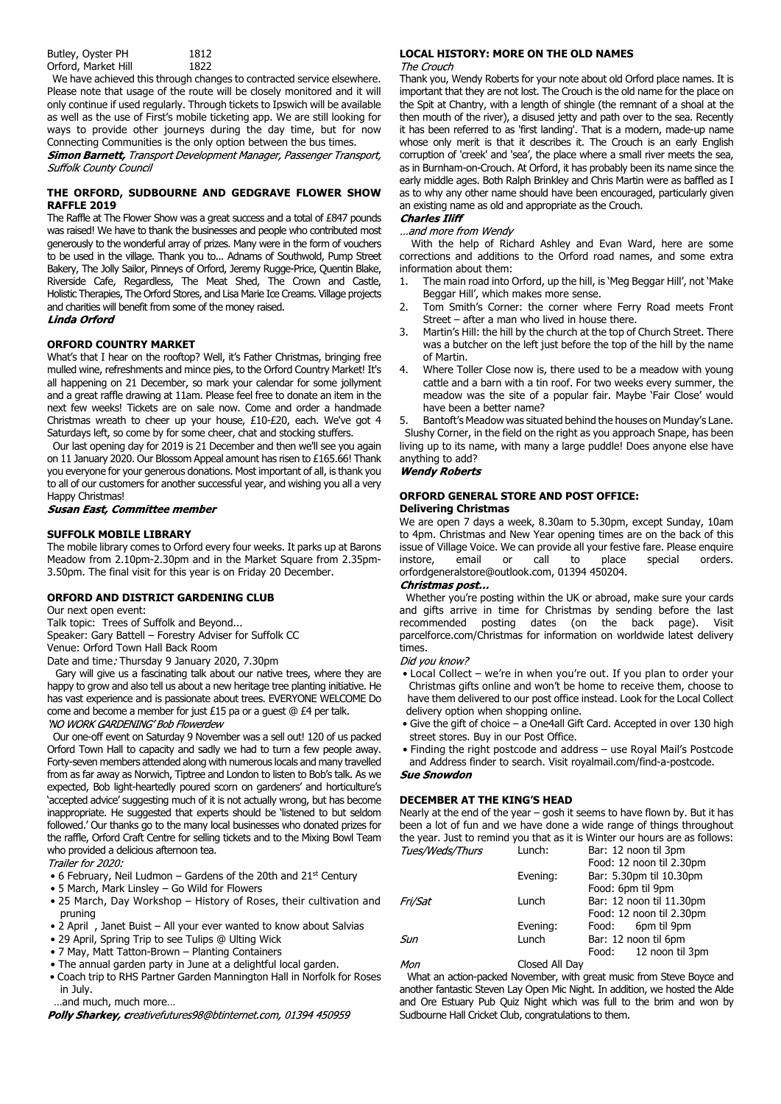We have achieved this through changes to contracted service elsewhere. Please note that usage of the route will be closely monitored and it will only continue if used regularly. Through tickets to Ipswich will be available as well as the use of First's mobile ticketing app. We are still looking for ways to provide other journeys during the day time, but for now

Connecting Communities is the only option between the bus times.<br>**Simon Barnett,** Transport Development Manager, Passenger Transport, **Suffolk County Council** 

#### **THE ORFORD, SUDBOURNE AND GEDGRAVE FLOWER SHOW RAFFLE 2019**

The Raffle at The Flower Show was a great success and a total of £847 pounds was raised! We have to thank the businesses and people who contributed most generously to the wonderful array of prizes. Many were in the form of vouchers to be used in the village. Thank you to... Adnams of Southwold, Pump Street Bakery, The Jolly Sailor, Pinneys of Orford, Jeremy Rugge-Price, Quentin Blake, Riverside Cafe, Regardless, The Meat Shed, The Crown and Castle, Holistic Therapies, The Orford Stores, and Lisa Marie Ice Creams. Village projects and charities will benefit from some of the money raised.

#### Linda Orford

#### **ORFORD COUNTRY MARKET**

What's that I hear on the rooftop? Well, it's Father Christmas, bringing free mulled wine, refreshments and mince pies, to the Orford Country Market! It's all happening on 21 December, so mark your calendar for some jollyment and a great raffle drawing at 11am. Please feel free to donate an item in the next few weeks! Tickets are on sale now. Come and order a handmade Christmas wreath to cheer up your house, £10-£20, each. We've got 4 Saturdays left, so come by for some cheer, chat and stocking stuffers.

 Our last opening day for 2019 is 21 December and then we'll see you again on 11 January 2020. Our Blossom Appeal amount has risen to £165.66! Thank you everyone for your generous donations. Most important of all, is thank you to all of our customers for another successful year, and wishing you all a very

Happy Christmas!<br>Susan East, Committee member

#### **SUFFOLK MOBILE LIBRARY**

The mobile library comes to Orford every four weeks. It parks up at Barons Meadow from 2.10pm-2.30pm and in the Market Square from 2.35pm-3.50pm. The final visit for this year is on Friday 20 December.

#### **ORFORD AND DISTRICT GARDENING CLUB**

Our next open event:

Talk topic: Trees of Suffolk and Beyond...

Speaker: Gary Battell – Forestry Adviser for Suffolk CC

Venue: Orford Town Hall Back Room

Date and time: Thursday 9 January 2020, 7.30pm

 Gary will give us a fascinating talk about our native trees, where they are happy to grow and also tell us about a new heritage tree planting initiative. He has vast experience and is passionate about trees. EVERYONE WELCOME Do come and become a member for just £15 pa or a guest @ £4 per talk. 'NO WORK GARDENING' Bob Flowerdew

 Our one-off event on Saturday 9 November was a sell out! 120 of us packed Orford Town Hall to capacity and sadly we had to turn a few people away. Forty-seven members attended along with numerous locals and many travelled from as far away as Norwich, Tiptree and London to listen to Bob's talk. As we expected, Bob light-heartedly poured scorn on gardeners' and horticulture's 'accepted advice' suggesting much of it is not actually wrong, but has become inappropriate. He suggested that experts should be 'listened to but seldom followed.' Our thanks go to the many local businesses who donated prizes for the raffle, Orford Craft Centre for selling tickets and to the Mixing Bowl Team who provided a delicious afternoon tea.

Trailer for 2020:

- 6 February, Neil Ludmon Gardens of the 20th and  $21<sup>st</sup>$  Century
- 5 March, Mark Linsley Go Wild for Flowers
- 25 March, Day Workshop History of Roses, their cultivation and pruning
- 2 April , Janet Buist All your ever wanted to know about Salvias
- 29 April, Spring Trip to see Tulips @ Ulting Wick
- 7 May, Matt Tatton-Brown Planting Containers
- The annual garden party in June at a delightful local garden.
- Coach trip to RHS Partner Garden Mannington Hall in Norfolk for Roses in July.
- …and much, much more…

Polly Sharkey, creativefutures98@btinternet.com, 01394 450959

# **LOCAL HISTORY: MORE ON THE OLD NAMES**

Thank you, Wendy Roberts for your note about old Orford place names. It is important that they are not lost. The Crouch is the old name for the place on the Spit at Chantry, with a length of shingle (the remnant of a shoal at the then mouth of the river), a disused jetty and path over to the sea. Recently it has been referred to as 'first landing'. That is a modern, made-up name whose only merit is that it describes it. The Crouch is an early English corruption of 'creek' and 'sea', the place where a small river meets the sea, as in Burnham-on-Crouch. At Orford, it has probably been its name since the early middle ages. Both Ralph Brinkley and Chris Martin were as baffled as I as to why any other name should have been encouraged, particularly given an existing name as old and appropriate as the Crouch.<br>**Charles Iliff** 

...and more from Wendy

 With the help of Richard Ashley and Evan Ward, here are some corrections and additions to the Orford road names, and some extra information about them:

- 1. The main road into Orford, up the hill, is 'Meg Beggar Hill', not 'Make Beggar Hill', which makes more sense.
- 2. Tom Smith's Corner: the corner where Ferry Road meets Front Street – after a man who lived in house there.
- 3. Martin's Hill: the hill by the church at the top of Church Street. There was a butcher on the left just before the top of the hill by the name of Martin.
- 4. Where Toller Close now is, there used to be a meadow with young cattle and a barn with a tin roof. For two weeks every summer, the meadow was the site of a popular fair. Maybe 'Fair Close' would have been a better name?

5. Bantoft's Meadow was situated behind the houses on Munday's Lane. Slushy Corner, in the field on the right as you approach Snape, has been living up to its name, with many a large puddle! Does anyone else have anything to add?

#### **Wendy Roberts**

#### **ORFORD GENERAL STORE AND POST OFFICE: Delivering Christmas**

We are open 7 days a week, 8.30am to 5.30pm, except Sunday, 10am to 4pm. Christmas and New Year opening times are on the back of this issue of Village Voice. We can provide all your festive fare. Please enquire instore, email or call to place special orders. orfordgeneralstore@outlook.com, 01394 450204.

#### Christmas post...

 Whether you're posting within the UK or abroad, make sure your cards and gifts arrive in time for Christmas by sending before the last recommended posting dates (on the back page). Visit parcelforce.com/Christmas for information on worldwide latest delivery times.

Did you know?

- Local Collect we're in when you're out. If you plan to order your Christmas gifts online and won't be home to receive them, choose to have them delivered to our post office instead. Look for the Local Collect delivery option when shopping online.
- Give the gift of choice a One4all Gift Card. Accepted in over 130 high street stores. Buy in our Post Office.
- Finding the right postcode and address use Royal Mail's Postcode and Address finder to search. Visit royalmail.com/find-a-postcode.

#### **Sue Snowdon**

#### **DECEMBER AT THE KING'S HEAD**

Nearly at the end of the year – gosh it seems to have flown by. But it has been a lot of fun and we have done a wide range of things throughout the year. Just to remind you that as it is Winter our hours are as follows:<br> $T_{\text{C}} = 1000 \text{ Hz}^{-1}$ Lunch: Bar: 12 noon til 3pm

| , <i>ucs, wcus, 111urs</i> | <u>Lui Iuli.</u> | Dal. IZ HUUH UI JUHI     |
|----------------------------|------------------|--------------------------|
|                            |                  | Food: 12 noon til 2.30pm |
|                            | Evening:         | Bar: 5.30pm til 10.30pm  |
|                            |                  | Food: 6pm til 9pm        |
| Fri/Sat                    | Lunch            | Bar: 12 noon til 11.30pm |
|                            |                  | Food: 12 noon til 2.30pm |
|                            | Evening:         | 6pm til 9pm<br>Food:     |
| Sun                        | Lunch            | Bar: 12 noon til 6pm     |
|                            |                  | 12 noon til 3pm<br>Food: |
|                            |                  |                          |

Mon Closed All Dav

 What an action-packed November, with great music from Steve Boyce and another fantastic Steven Lay Open Mic Night. In addition, we hosted the Alde and Ore Estuary Pub Quiz Night which was full to the brim and won by Sudbourne Hall Cricket Club, congratulations to them.